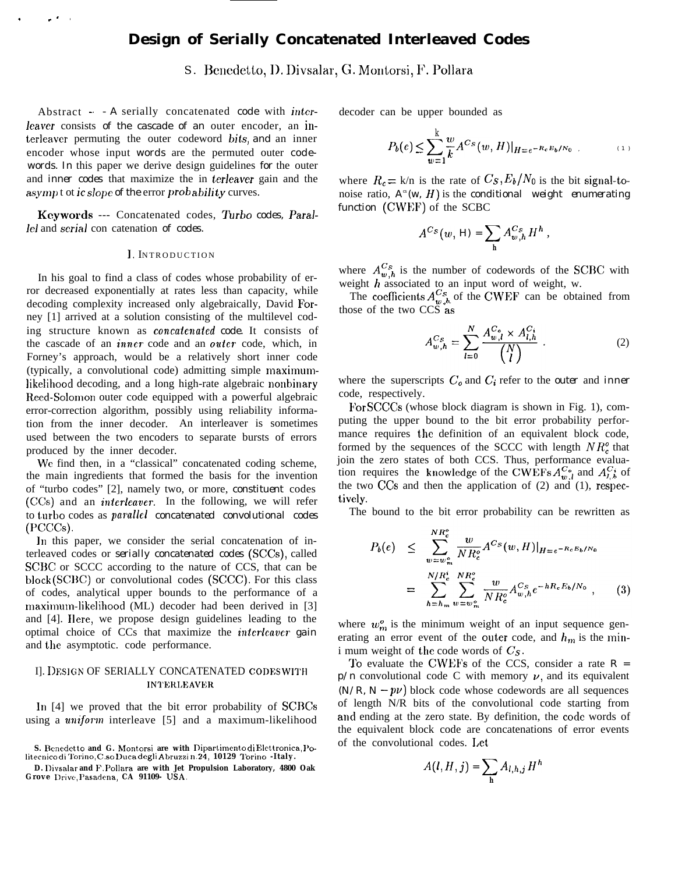# **Design of Serially Concatenated Interleaved Codes**

S. Benedetto, D. Divsalar, G. Montorsi, F. Pollara

Abstract - - *A* serially concatenated *code* with intcrleaver consists of the cascade of an outer encoder, an interleavcr permuting the outer codeword bits, *and* an inner encoder whose input *words* are the permuted outer *codewords. In* this paper we derive design guidelines *for* the outer and *inner codes* that maximize the in terleaver gain and the asympt ot *ic slope of the* error *probability* curves.

.

 $\mathbf{r}$ 

Keywords --- Concatenated codes, *Turbo codes, Paral*lel and serial con catenation *of codes.*

#### *1,* INTRODUCTIO N

In his goal to find a class of codes whose probability of error decreased exponentially at rates less than capacity, while decoding complexity increased only algebraically, David Forney [1] arrived at a solution consisting of the multilevel coding structure known as *concutmaied code.* It consists of the cascade of an *inner* code and an outer code, which, in Forney's approach, would be a relatively short inner code (typically, a convolutional code) admitting simple maximumlikelihood decoding, and a long high-rate algebraic nonbinary Reed-Solomon outer code equipped with a powerful algebraic error-correction algorithm, possibly using reliability information from the inner decoder. An interleaver is sometimes used between the two encoders to separate bursts of errors produced by the inner decoder.

We find then, in a "classical" concatenated coding scheme, the main ingredients that formed the basis for the invention of "turbo codes" [2], namely two, or more, *constituent* codes (CCS) and an *inierleaver.* In the following, we will refer to turbo codes as *parallel concatenated convolutional codes* **(Pcccs).**

In this paper, we consider the serial concatenation of interleaved codes or *serially concatenated codes (SCCS),* called SCBC or SCCC according to the nature of CCS, that can be block (SCBC) or convolutional codes (SCCC). For this class of codes, analytical upper bounds to the performance of a maximum-likelihood (ML) decoder had been derived in [3] and [4]. Ilere, we propose design guidelines leading to the optimal choice of CCs that maximize the *imterleaver gain* and the asymptotic. code performance.

# I]. **DESIGN OF SERIALLY CONCATENATED CODES WITH INTERLEAVER**

In [4] we proved that the bit error probability of SCBCs using a *uniform* interleave [5] and a maximum-likelihood decoder can be upper bounded as

$$
P_b(e) \le \sum_{w=1}^k \frac{w}{k} A^{Cs}(w, H)|_{H = e^{-R_c E_b/N_0}} \tag{1}
$$

where  $R_c = k/n$  is the rate of  $C_s$ ,  $E_b/N_0$  is the bit signal-tonoise ratio,  $A^{\infty}(w, H)$  is the *conditional* weight enumerating *function* (CWEF) of the SCBC

$$
A^{Cs}(w, H) = \sum_{h} A^{Cs}_{w,h} H^{h},
$$

where  $A^{Cs}_{w,h}$  is the number of codewords of the SCBC with weight  $h$  associated to an input word of weight, w.

The coefficients  $A^{Cs}_{w, h}$  of the CWEF can be obtained from those of the two  $CC\ddot{S}$  as

$$
A_{w,h}^{Cs} = \sum_{l=0}^{N} \frac{A_{w,l}^{C_o} \times A_{l,h}^{C_i}}{\binom{N}{l}}.
$$
 (2)

where the superscripts  $C_0$  and  $C_i$  refer to the *outer* and *inner* code, respectively.

For SCCCS (whose block diagram is shown in Fig. 1), computing the upper bound to the bit error probability performance requires the definition of an equivalent block code, formed by the sequences of the SCCC with length  $NR_c^{\circ}$  that join the zero states of both CCS. Thus, performance evaluation requires the knowledge of the CWEFs  $A^{C_0}_{\mu}$  and  $A^{C_i}_{l,b}$  of the two CCs and then the application of  $(2)$  and  $(1)$ , respecively.

The bound to the bit error probability can be rewritten as

$$
P_b(e) \leq \sum_{w=w_m^o}^{NR_c^o} \frac{w}{NR_c^o} A^{Cs}(w, H)|_{H = e^{-R_c E_b/N_0}}
$$
  
= 
$$
\sum_{h=h_m}^{N/R_c^i} \sum_{w=w_m^o}^{NR_c^o} \frac{w}{NR_c^o} A_{w,h}^{Cs} e^{-hR_c E_b/N_0},
$$
 (3)

where  $w_m^o$  is the minimum weight of an input sequence generating an error event of the outer code, and  $h_m$  is the mini mum weight of the code words of  $C_S$ .

To evaluate the CWEFS of the CCS, consider a rate *R =*  $p/n$  convolutional code C with memory  $\nu$ , and its equivalent  $(N/R, N - p\nu)$  block code whose codewords are all sequences of length N/R bits of the convolutional code starting from and ending at the zero state. By definition, the code words of the equivalent block code are concatenations of error events of the convolutional codes. I,et

$$
A(l, H, j) = \sum_{h} A_{l, h, j} H^{h}
$$

**S. Benecletto and G. Montorsi are with Dipartimento di Elettronica, 11o-Iitecnico di Torino, C..e.o Duca dcgli Abruzzi n.24, 10129 lorino -Italy.**

**D. Divsalar and F. Pollara are with Jet Propulsion Laboratory, 4800 Oak Grove Drive, l'asadena, CA 91109- IJSA.**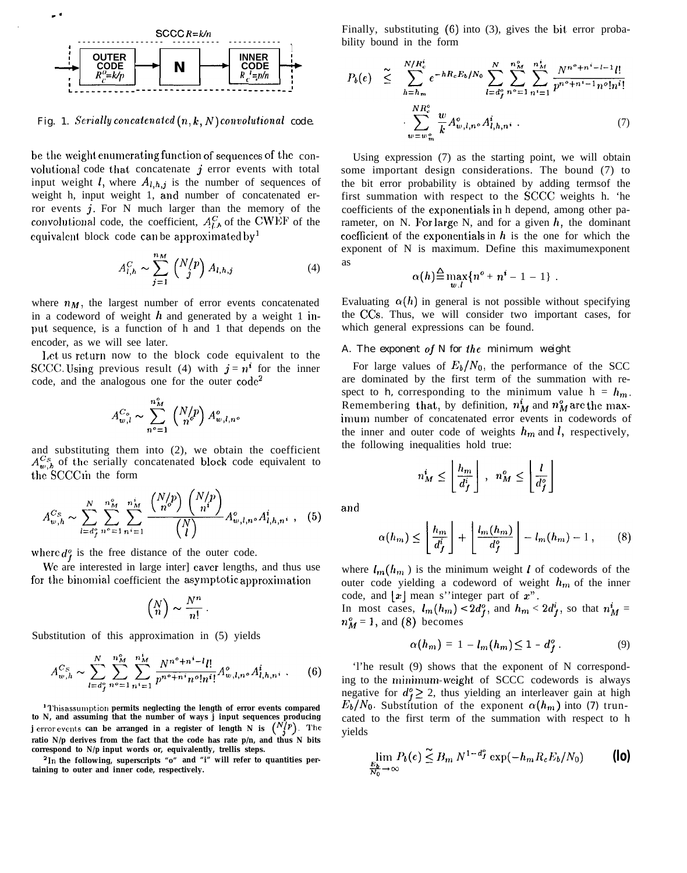

Fig. 1. Serially concatenated  $(n, k, N)$  convolutional code.

be the weight enumerating function of sequences of the convolutional code that concatenate  $j$  error events with total input weight *l*, where  $A_{l,h,j}$  is the number of sequences of weight h, input weight 1, and number of concatenated error events  $j$ . For N much larger than the memory of the convolutional code, the coefficient,  $A_{l,b}^{C}$  of the CWEF of the equivalent block code can be approximated by<sup>1</sup>

$$
A_{l,h}^C \sim \sum_{j=1}^{n_M} \binom{N/p}{j} A_{l,h,j} \tag{4}
$$

where  $n_M$ , the largest number of error events concatenated in a codeword of weight  $h$  and generated by a weight 1 input sequence, is a function of h and 1 that depends on the encoder, as we will see later.

Let us return now to the block code equivalent to the SCCC. Using previous result (4) with  $j = n^i$  for the inner code, and the analogous one for the outer  $code^2$ 

$$
A_{w,l}^{C_o} \sim \sum_{n^o=1}^{n_M^o} \left(\begin{matrix} N/p \\ n^o \end{matrix}\right) A_{w,l,n}^o
$$

and substituting them into  $(2)$ , we obtain the coefficient  $A_{w,h}^{Cs}$  of the serially concatenated block code equivalent to the SCCCin the form

$$
A_{w,h}^{C_S} \sim \sum_{l=d_f^o}^{N} \sum_{n^o=1}^{n_M^o} \sum_{n^i=1}^{n^i_M} \frac{\binom{N/p}{n^o} \binom{N/p}{n^i}}{\binom{N}{l}} A_{w,l,n^o}^o A_{l,h,n^i}^i , \quad (5)
$$

where  $d_f^o$  is the free distance of the outer code.

We are interested in large inter] eaver lengths, and thus use for the binomial coefficient the asymptotic approximation

$$
\binom{N}{n} \sim \frac{N^n}{n!} \, .
$$

Substitution of this approximation in (5) yields

$$
A_{w,h}^{Cs} \sim \sum_{l=d_j^c}^{N} \sum_{n^o=1}^{n_M^s} \sum_{n^i=1}^{n_M^t} \frac{N^{n^o+n^i-l}l!}{p^{n^o+n^i}n^o!n^i!} A_{w,l,n^o}^o A_{l,h,n^i}^i .
$$
 (6)

<sup>1</sup>Thisassumption permits neglecting the length of error events compared to N, and assuming that the number of ways j input sequences producing<br>j error events can be arranged in a register of length N is  $\binom{N(p)}{3}$ . The ratio N/p derives from the fact that the code has rate p/n, and thus N bits correspond to  $N/p$  input words or, equivalently, trellis steps.

<sup>2</sup>In the following, superscripts "o" and "i" will refer to quantities pertaining to outer and inner code, respectively.

Finally, substituting  $(6)$  into  $(3)$ , gives the bit error probability bound in the form

$$
P_b(e) \leq \sum_{h=h_m}^{N/R_c^*} e^{-hR_cE_b/N_0} \sum_{l=d_f^o}^{N} \sum_{n \geq 1}^{n_M^o} \sum_{n'=1}^{n_M^t} \frac{N^{n^o+n^i-l-1}l!}{p^{n^o+n^i-1}n^o!n^i!}
$$

$$
\cdot \sum_{w=w_m^o}^{N R_c^o} \frac{w}{k} A_{w,l,n^o}^o A_{l,h,n^i}^i . \qquad (7)
$$

Using expression  $(7)$  as the starting point, we will obtain some important design considerations. The bound (7) to the bit error probability is obtained by adding terms of the first summation with respect to the SCCC weights h. 'he coefficients of the exponentials in h depend, among other parameter, on N. For large N, and for a given  $h$ , the dominant coefficient of the exponentials in  $h$  is the one for which the exponent of N is maximum. Define this maximum exponent as

$$
\alpha(h) \stackrel{\Delta}{=} \max_{w,l} \{n^o + n^i - 1 - 1\}
$$

Evaluating  $\alpha(h)$  in general is not possible without specifying the CCs. Thus, we will consider two important cases, for which general expressions can be found.

# A. The exponent of N for the minimum weight

For large values of  $E_b/N_0$ , the performance of the SCC are dominated by the first term of the summation with respect to h, corresponding to the minimum value  $h = h_m$ . Remembering that, by definition,  $n_M^i$  and  $n_M^o$  are the maximum number of concatenated error events in codewords of the inner and outer code of weights  $h_m$  and l, respectively, the following inequalities hold true:

$$
n_M^i \le \left\lfloor \frac{h_m}{d_f^i} \right\rfloor, \ \ n_M^o \le \left\lfloor \frac{l}{d_f^o} \right\rfloor
$$

and

$$
\alpha(h_m) \le \left\lfloor \frac{h_m}{d_f^i} \right\rfloor + \left\lfloor \frac{l_m(h_m)}{d_f^o} \right\rfloor - l_m(h_m) - 1, \qquad (8)
$$

where  $l_m(h_m)$  is the minimum weight l of codewords of the outer code yielding a codeword of weight  $h_m$  of the inner code, and  $|x|$  mean s''integer part of  $x$ ".

In most cases,  $l_m(h_m) < 2d_f^o$ , and  $h_m < 2d_f^i$ , so that  $n_M^i =$  $n_M^o = 1$ , and (8) becomes

$$
\alpha(h_m) = 1 - l_m(h_m) \le 1 - d_f^o \tag{9}
$$

The result (9) shows that the exponent of N corresponding to the minimum-weight of SCCC codewords is always negative for  $d_f^o \geq 2$ , thus yielding an interleaver gain at high  $E_b/N_0$ . Substitution of the exponent  $\alpha(h_m)$  into (7) truncated to the first term of the summation with respect to h vields

$$
\lim_{\frac{E_b}{N_0}\to\infty} P_b(e) \leq B_m N^{1-d_f^o} \exp(-h_m R_c E_b/N_0)
$$
 (lo)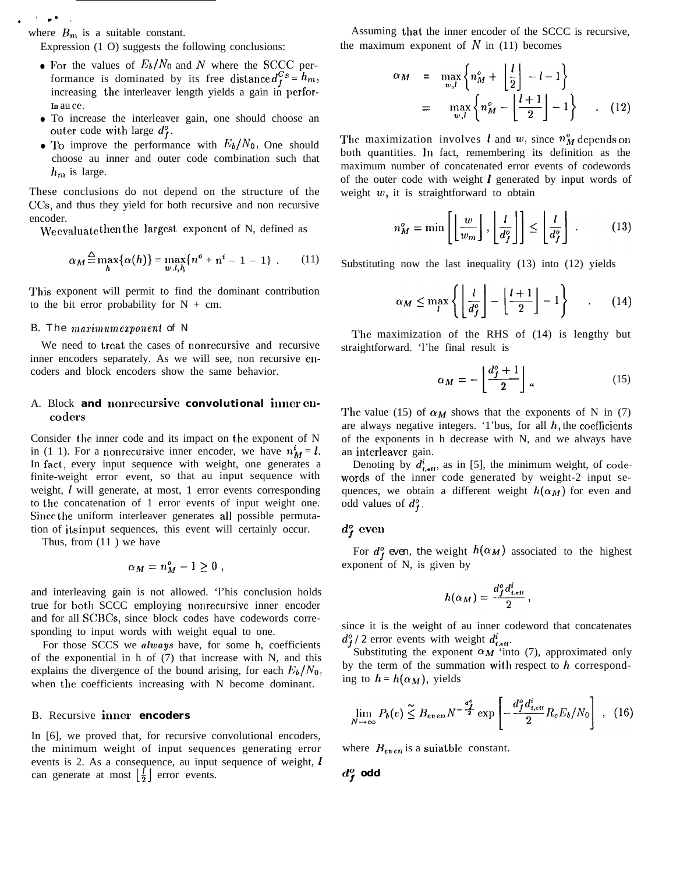where  $B_m$  is a suitable constant.

Expression (1 O) suggests the following conclusions:

- For the values of  $E_b/N_0$  and N where the SCCC performance is dominated by its free distance  $d_f^{Cs} = h_m$ , increasing the interleaver length yields a gain in perfor-**In** au ce.
- To increase the interleaver gain, one should choose an outer code with large *d;.*
- To improve the performance with  $E_b/N_0$ , One should choose au inner and outer code combination such that  $h_m$  is large.

These conclusions do not depend on the structure of the CCS, and thus they yield for both recursive and non recursive encoder.

We evaluate then the largest exponent of N, defined as

$$
\alpha_M \stackrel{\Delta}{=} \max_h \{ \alpha(h) \} = \max_{w,l,h} \{ n^o + n^i - 1 - 1 \} . \tag{11}
$$

This exponent will permit to find the dominant contribution to the bit error probability for  $N + cm$ .

#### B. *The maximum exponent of N*

We need to treat the cases of nonrecursive and recursive inner encoders separately. As we will see, non recursive eucoders and block encoders show the same behavior.

# A. Block and nonrecursive convolutional inner en**codcm**

Consider the inner code and its impact on the exponent of N in (1 1). For a nonrecursive inner encoder, we have  $n_M^i = l$ . In fact, every input sequence with weight, one generates a finite-weight error event, so that au input sequence with weight, *l* will generate, at most, 1 error events corresponding to the concatenation of 1 error events of input weight one. Since the uniform interleaver generates all possible permutation of its input, sequences, this event will certainly occur.

Thus, from (11 ) we have

$$
\alpha_M = n_M^o - 1 \geq 0 ,
$$

and interleaving gain is not allowed. 'l'his conclusion holds true for both SCCC employing nonrecursive inner encoder and for all SCHCs, since block codes have codewords corresponding to input words with weight equal to one.

For those SCCS we always have, for some h, coefficients of the exponential in h of (7) that increase with N, and this explains the divergence of the bound arising, for each  $E_b/N_0$ , when the coefficients increasing with N become dominant.

## B. Recursive inner **encoders**

In [6], we proved that, for recursive convolutional encoders, the minimum weight of input sequences generating error events is 2. As a consequence, au input sequence of weight,  $\bm{l}$ can generate at most  $\left|\frac{l}{2}\right|$  error events.

Assuming that the inner encoder of the SCCC is recursive, the maximum exponent of  $N$  in (11) becomes

$$
\alpha_M = \max_{w,l} \left\{ n_M^o + \left\lfloor \frac{l}{2} \right\rfloor - l - 1 \right\}
$$

$$
= \max_{w,l} \left\{ n_M^o - \left\lfloor \frac{l+1}{2} \right\rfloor - 1 \right\} . \quad (12)
$$

The maximization involves **l** and w, since  $n_M^o$  depends on both quantities. In fact, remembering its definition as the maximum number of concatenated error events of codewords of the outer code with weight  $l$  generated by input words of weight  $w$ , it is straightforward to obtain

$$
n_M^o = \min\left[\left\lfloor \frac{w}{w_m} \right\rfloor, \left\lfloor \frac{l}{d_f^o} \right\rfloor\right] \le \left\lfloor \frac{l}{d_f^o} \right\rfloor. \tag{13}
$$

Substituting now the last inequality (13) into (12) yields

$$
\alpha_M \le \max_l \left\{ \left\lfloor \frac{l}{d_f^o} \right\rfloor - \left\lfloor \frac{l+1}{2} \right\rfloor - 1 \right\} \qquad (14)
$$

The maximization of the RHS of (14) is lengthy but straightforward. 'l'he final result is

$$
\alpha_M = -\left\lfloor \frac{d_f^o + 1}{2} \right\rfloor \tag{15}
$$

The value (15) of  $\alpha_M$  shows that the exponents of N in (7) are always negative integers. '1'bus, for all  $h$ , the coefficients of the exponents in h decrease with N, and we always have an interleaver gain.

Denoting by  $d_{t,eff}^{i}$ , as in [5], the minimum weight, of codewords of the inner code generated by weight-2 input sequences, we obtain a different weight  $h(\alpha_M)$  for even and odd values of  $d_f^o$ .

## $d_f^o$  even

For  $d_f^o$  even, the weight  $h(\alpha_M)$  associated to the highest exponent of N, is given by

$$
h(\alpha_M)=\frac{d_f^o d_{t,\text{eff}}^i}{2}\,,
$$

since it is the weight of au inner codeword that concatenates  $d_f^o$  /2 error events with weight  $d_{i, \text{eff}}^i$ .

Substituting the exponent  $\alpha_M$  'into (7), approximated only by the term of the summation with respect to  $h$  corresponding to  $h = h(\alpha_M)$ , yields

$$
\lim_{N \to \infty} P_b(e) \leq B_{even} N^{-\frac{d^o}{2}} \exp\left[ -\frac{d^o_j d^i_{i, \text{eff}}}{2} R_c E_b / N_0 \right] , \tag{16}
$$

where  $B_{even}$  is a suiatble constant.

$$
d^o_{\boldsymbol{f}} \text{ odd}
$$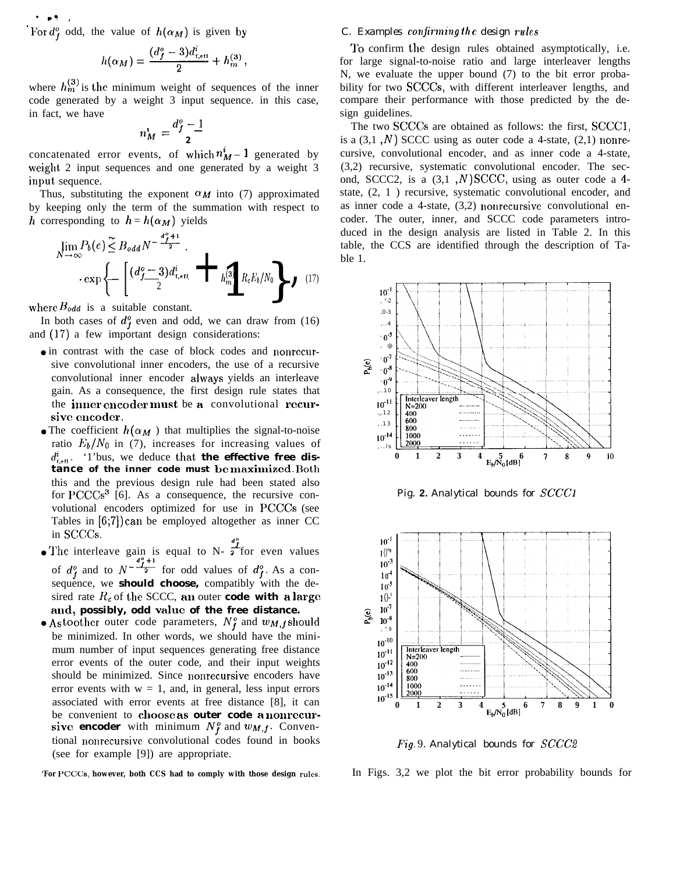. **9= ,** For  $d_f^o$  odd, the value of  $h(\alpha_M)$  is given by

$$
h(\alpha_M) = \frac{(d_f^o - 3)d_{t,\text{eff}}^i}{2} + h_m^{(3)},
$$

where  $h_m^{(3)}$  is the minimum weight of sequences of the inner code generated by a weight 3 input sequence. in this case, in fact, we have

$$
n_M^i = \frac{d_j^o - 1}{2}
$$

concatenated error events, of which  $n_M^i$  – 1 generated by weight 2 input sequences and one generated by a weight 3 input sequence.

Thus, substituting the exponent  $\alpha_M$  into (7) approximated by keeping only the term of the summation with respect to h corresponding to  $h = h(\alpha_M)$  yields

$$
\lim_{N \to \infty} P_b(e) \leq B_{odd} N^{-\frac{d_f^2 + 1}{2}}.
$$

$$
\exp \left\{ - \left[ \frac{(d_f^o - 3)d_{f,eff}^i}{2} + h_{mg}^{\frac{d_f^2}{2}} R_c E_b / N_0 \right] \right\} \quad (17)
$$

where  $B_{odd}$  is a suitable constant.

In both cases of  $d_f^o$  even and odd, we can draw from (16) and (17) a few important design considerations:

- in contrast with the case of block codes and nonrecursive convolutional inner encoders, the use of a recursive convolutional inner encoder always yields an interleave gain. As a consequence, the first design rule states that the inner cmcoder must be a convolutional recursive encoder.
- The coefficient  $h(\alpha_M)$  that multiplies the signal-to-noise ratio  $E_b/N_0$  in (7), increases for increasing values of  $d_{\text{t,eff}}^i$ . '1'bus, we deduce that **the effective free distance of the inner code must be nmximizcd.** Roth this and the previous design rule had been stated also for  $PCCCs<sup>3</sup>$  [6]. As a consequence, the recursive convolutional encoders optimized for use in PCCCS (see Tables in [6;7]) can be employed altogether as inner CC in SCCCs.
- The interleave gain is equal to N-  $\frac{d_f^2}{2}$  for even values<br>of  $d_f^o$  and to  $N^{-\frac{d_f^o+1}{2}}$  for odd values of  $d_f^o$ . As a consequence, we **should choose,** compatibly with the desired rate  $R_c$  of the SCCC, an outer **code with a large and, possibly, odd value of the free distance.**
- Astoother outer code parameters,  $N_f^o$  and  $w_{M,f}$  should be minimized. In other words, we should have the minimum number of input sequences generating free distance error events of the outer code, and their input weights should be minimized. Since nonrecursive encoders have error events with  $w = 1$ , and, in general, less input errors associated with error events at free distance [8], it can be convenient to choose as **outer code a nonrccursive encoder** with minimum  $N_f^o$  and  $w_{M,f}$ . Conventional nonrecursive convolutional codes found in books (see for example [9]) are appropriate.

*'For PCCCS,* **however, both CCS had to comply with those design rules.**

## *C. Examples cotljrming 11) e design rules*

'1'o confirm the design rules obtained asymptotically, i.e. for large signal-to-noise ratio and large interleaver lengths N, we evaluate the upper bound (7) to the bit error probability for two SCCCS, with different interleaver lengths, and compare their performance with those predicted by the design guidelines.

The two SCCCS are obtained as follows: the first, SCCC1, is a  $(3,1, N)$  SCCC using as outer code a 4-state,  $(2,1)$  nonrecursive, convolutional encoder, and as inner code a 4-state, (3,2) recursive, systematic convolutional encoder. The second, SCCC2, is a  $(3,1, N)$  SCCC, using as outer code a 4state, (2, 1 ) recursive, systematic convolutional encoder, and as inner code a 4-state, (3,2) nonrecursive convolutional encoder. The outer, inner, and SCCC code parameters introduced in the design analysis are listed in Table 2. In this table, the CCS are identified through the description of Table 1.



*Pig.* **2.** *Analytical bounds for SCCC1*



Fig. 9. *Analytical bounds for SCCC2*

In Figs. 3,2 we plot the bit error probability bounds for